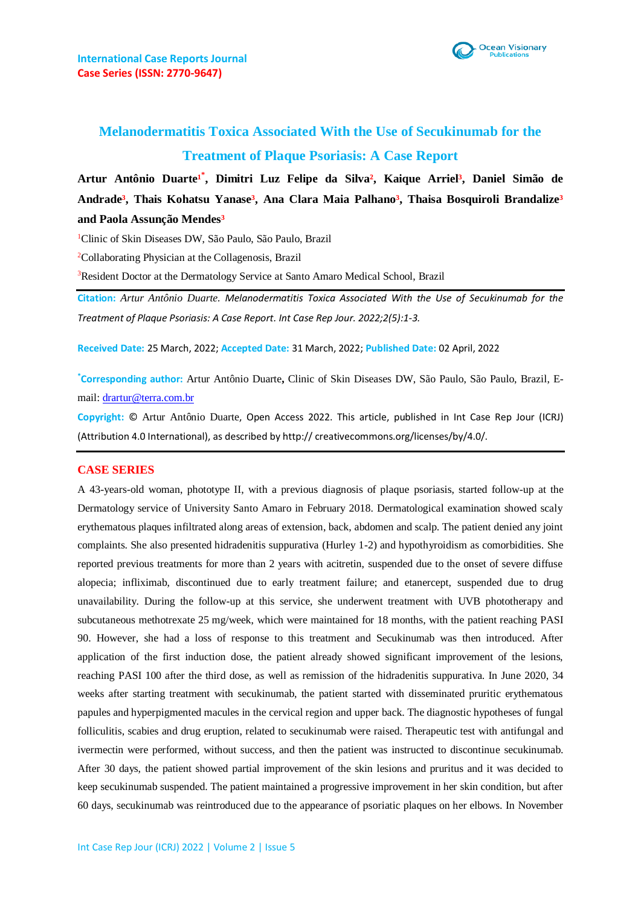

## **Melanodermatitis Toxica Associated With the Use of Secukinumab for the Treatment of Plaque Psoriasis: A Case Report**

Artur Antônio Duarte<sup>1\*</sup>, Dimitri Luz Felipe da Silva<sup>2</sup>, Kaique Arriel<sup>3</sup>, Daniel Simão de Andrade<sup>3</sup>, Thais Kohatsu Yanase<sup>3</sup>, Ana Clara Maia Palhano<sup>3</sup>, Thaisa Bosquiroli Brandalize<sup>3</sup> **and Paola Assunção Mendes³**

<sup>1</sup>Clinic of Skin Diseases DW, São Paulo, São Paulo, Brazil

<sup>2</sup>Collaborating Physician at the Collagenosis, Brazil

<sup>3</sup>Resident Doctor at the Dermatology Service at Santo Amaro Medical School, Brazil

**Citation:** *Artur Antônio Duarte. Melanodermatitis Toxica Associated With the Use of Secukinumab for the Treatment of Plaque Psoriasis: A Case Report. Int Case Rep Jour. 2022;2(5):1-3.*

**Received Date:** 25 March, 2022; **Accepted Date:** 31 March, 2022; **Published Date:** 02 April, 2022

**\*Corresponding author:** Artur Antônio Duarte**,** Clinic of Skin Diseases DW, São Paulo, São Paulo, Brazil, Email: [drartur@terra.com.br](mailto:drartur@terra.com.br)

**Copyright:** © Artur Antônio Duarte, Open Access 2022. This article, published in Int Case Rep Jour (ICRJ) (Attribution 4.0 International), as described by http:// creativecommons.org/licenses/by/4.0/.

## **CASE SERIES**

A 43-years-old woman, phototype II, with a previous diagnosis of plaque psoriasis, started follow-up at the Dermatology service of University Santo Amaro in February 2018. Dermatological examination showed scaly erythematous plaques infiltrated along areas of extension, back, abdomen and scalp. The patient denied any joint complaints. She also presented hidradenitis suppurativa (Hurley 1-2) and hypothyroidism as comorbidities. She reported previous treatments for more than 2 years with acitretin, suspended due to the onset of severe diffuse alopecia; infliximab, discontinued due to early treatment failure; and etanercept, suspended due to drug unavailability. During the follow-up at this service, she underwent treatment with UVB phototherapy and subcutaneous methotrexate 25 mg/week, which were maintained for 18 months, with the patient reaching PASI 90. However, she had a loss of response to this treatment and Secukinumab was then introduced. After application of the first induction dose, the patient already showed significant improvement of the lesions, reaching PASI 100 after the third dose, as well as remission of the hidradenitis suppurativa. In June 2020, 34 weeks after starting treatment with secukinumab, the patient started with disseminated pruritic erythematous papules and hyperpigmented macules in the cervical region and upper back. The diagnostic hypotheses of fungal folliculitis, scabies and drug eruption, related to secukinumab were raised. Therapeutic test with antifungal and ivermectin were performed, without success, and then the patient was instructed to discontinue secukinumab. After 30 days, the patient showed partial improvement of the skin lesions and pruritus and it was decided to keep secukinumab suspended. The patient maintained a progressive improvement in her skin condition, but after 60 days, secukinumab was reintroduced due to the appearance of psoriatic plaques on her elbows. In November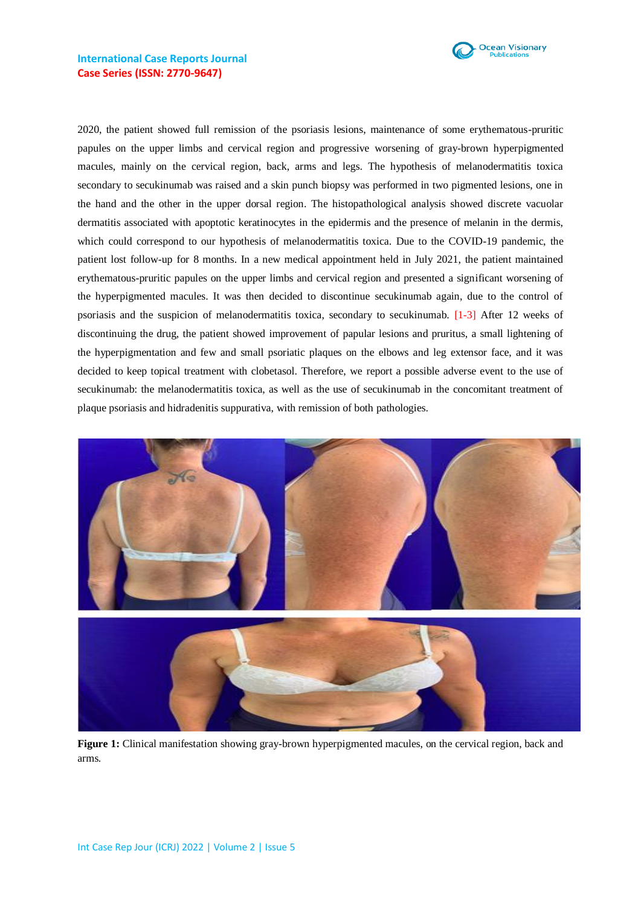

2020, the patient showed full remission of the psoriasis lesions, maintenance of some erythematous-pruritic papules on the upper limbs and cervical region and progressive worsening of gray-brown hyperpigmented macules, mainly on the cervical region, back, arms and legs. The hypothesis of melanodermatitis toxica secondary to secukinumab was raised and a skin punch biopsy was performed in two pigmented lesions, one in the hand and the other in the upper dorsal region. The histopathological analysis showed discrete vacuolar dermatitis associated with apoptotic keratinocytes in the epidermis and the presence of melanin in the dermis, which could correspond to our hypothesis of melanodermatitis toxica. Due to the COVID-19 pandemic, the patient lost follow-up for 8 months. In a new medical appointment held in July 2021, the patient maintained erythematous-pruritic papules on the upper limbs and cervical region and presented a significant worsening of the hyperpigmented macules. It was then decided to discontinue secukinumab again, due to the control of psoriasis and the suspicion of melanodermatitis toxica, secondary to secukinumab. [1-3] After 12 weeks of discontinuing the drug, the patient showed improvement of papular lesions and pruritus, a small lightening of the hyperpigmentation and few and small psoriatic plaques on the elbows and leg extensor face, and it was decided to keep topical treatment with clobetasol. Therefore, we report a possible adverse event to the use of secukinumab: the melanodermatitis toxica, as well as the use of secukinumab in the concomitant treatment of plaque psoriasis and hidradenitis suppurativa, with remission of both pathologies.



**Figure 1:** Clinical manifestation showing gray-brown hyperpigmented macules, on the cervical region, back and arms.